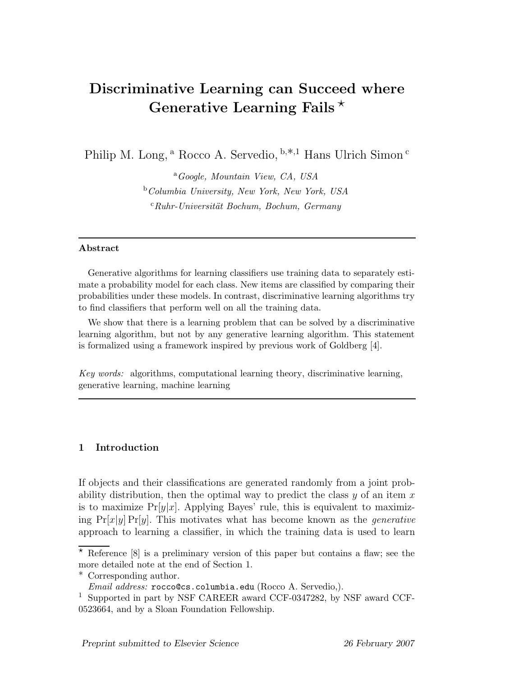# Discriminative Learning can Succeed where Generative Learning Fails  $\star$

Philip M. Long, <sup>a</sup> Rocco A. Servedio,  $b^{*,1}$  Hans Ulrich Simon<sup>c</sup>

<sup>a</sup>Google, Mountain View, CA, USA <sup>b</sup>Columbia University, New York, New York, USA  $c$ Ruhr-Universität Bochum, Bochum, Germany

#### Abstract

Generative algorithms for learning classifiers use training data to separately estimate a probability model for each class. New items are classified by comparing their probabilities under these models. In contrast, discriminative learning algorithms try to find classifiers that perform well on all the training data.

We show that there is a learning problem that can be solved by a discriminative learning algorithm, but not by any generative learning algorithm. This statement is formalized using a framework inspired by previous work of Goldberg [4].

Key words: algorithms, computational learning theory, discriminative learning, generative learning, machine learning

# 1 Introduction

If objects and their classifications are generated randomly from a joint probability distribution, then the optimal way to predict the class  $y$  of an item  $x$ is to maximize  $Pr[y|x]$ . Applying Bayes' rule, this is equivalent to maximizing  $Pr[x|y] Pr[y]$ . This motivates what has become known as the *generative* approach to learning a classifier, in which the training data is used to learn

 $\overline{\star}$  Reference [8] is a preliminary version of this paper but contains a flaw; see the more detailed note at the end of Section 1.

<sup>∗</sup> Corresponding author.

Email address: rocco@cs.columbia.edu (Rocco A. Servedio,).

<sup>1</sup> Supported in part by NSF CAREER award CCF-0347282, by NSF award CCF-0523664, and by a Sloan Foundation Fellowship.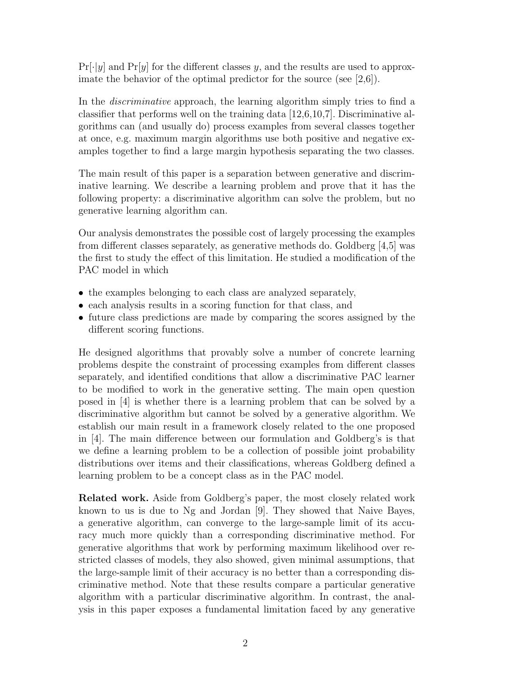$Pr[\cdot|y]$  and  $Pr[y]$  for the different classes y, and the results are used to approximate the behavior of the optimal predictor for the source (see [2,6]).

In the *discriminative* approach, the learning algorithm simply tries to find a classifier that performs well on the training data [12,6,10,7]. Discriminative algorithms can (and usually do) process examples from several classes together at once, e.g. maximum margin algorithms use both positive and negative examples together to find a large margin hypothesis separating the two classes.

The main result of this paper is a separation between generative and discriminative learning. We describe a learning problem and prove that it has the following property: a discriminative algorithm can solve the problem, but no generative learning algorithm can.

Our analysis demonstrates the possible cost of largely processing the examples from different classes separately, as generative methods do. Goldberg [4,5] was the first to study the effect of this limitation. He studied a modification of the PAC model in which

- the examples belonging to each class are analyzed separately,
- each analysis results in a scoring function for that class, and
- future class predictions are made by comparing the scores assigned by the different scoring functions.

He designed algorithms that provably solve a number of concrete learning problems despite the constraint of processing examples from different classes separately, and identified conditions that allow a discriminative PAC learner to be modified to work in the generative setting. The main open question posed in [4] is whether there is a learning problem that can be solved by a discriminative algorithm but cannot be solved by a generative algorithm. We establish our main result in a framework closely related to the one proposed in [4]. The main difference between our formulation and Goldberg's is that we define a learning problem to be a collection of possible joint probability distributions over items and their classifications, whereas Goldberg defined a learning problem to be a concept class as in the PAC model.

Related work. Aside from Goldberg's paper, the most closely related work known to us is due to Ng and Jordan [9]. They showed that Naive Bayes, a generative algorithm, can converge to the large-sample limit of its accuracy much more quickly than a corresponding discriminative method. For generative algorithms that work by performing maximum likelihood over restricted classes of models, they also showed, given minimal assumptions, that the large-sample limit of their accuracy is no better than a corresponding discriminative method. Note that these results compare a particular generative algorithm with a particular discriminative algorithm. In contrast, the analysis in this paper exposes a fundamental limitation faced by any generative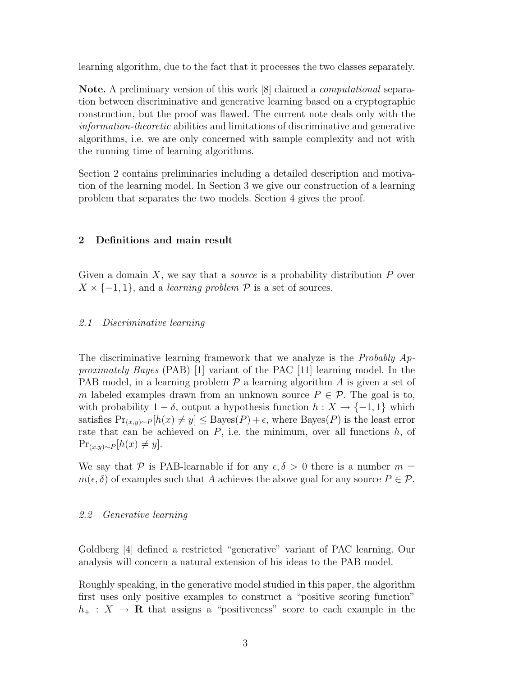learning algorithm, due to the fact that it processes the two classes separately.

Note. A preliminary version of this work [8] claimed a computational separation between discriminative and generative learning based on a cryptographic construction, but the proof was flawed. The current note deals only with the information-theoretic abilities and limitations of discriminative and generative algorithms, i.e. we are only concerned with sample complexity and not with the running time of learning algorithms.

Section 2 contains preliminaries including a detailed description and motivation of the learning model. In Section 3 we give our construction of a learning problem that separates the two models. Section 4 gives the proof.

# 2 Definitions and main result

Given a domain X, we say that a *source* is a probability distribution  $P$  over  $X \times \{-1, 1\}$ , and a *learning problem*  $\mathcal P$  is a set of sources.

#### 2.1 Discriminative learning

The discriminative learning framework that we analyze is the Probably Approximately Bayes (PAB) [1] variant of the PAC [11] learning model. In the PAB model, in a learning problem  $\mathcal P$  a learning algorithm A is given a set of m labeled examples drawn from an unknown source  $P \in \mathcal{P}$ . The goal is to, with probability  $1 - \delta$ , output a hypothesis function  $h: X \to \{-1, 1\}$  which satisfies  $Pr_{(x,y)\sim P}[h(x) \neq y] \leq$  Bayes $(P) + \epsilon$ , where Bayes $(P)$  is the least error rate that can be achieved on  $P$ , i.e. the minimum, over all functions  $h$ , of  $Pr_{(x,y)\sim P}[h(x) \neq y].$ 

We say that P is PAB-learnable if for any  $\epsilon, \delta > 0$  there is a number  $m =$  $m(\epsilon, \delta)$  of examples such that A achieves the above goal for any source  $P \in \mathcal{P}$ .

#### 2.2 Generative learning

Goldberg [4] defined a restricted "generative" variant of PAC learning. Our analysis will concern a natural extension of his ideas to the PAB model.

Roughly speaking, in the generative model studied in this paper, the algorithm first uses only positive examples to construct a "positive scoring function"  $h_+ : X \to \mathbf{R}$  that assigns a "positiveness" score to each example in the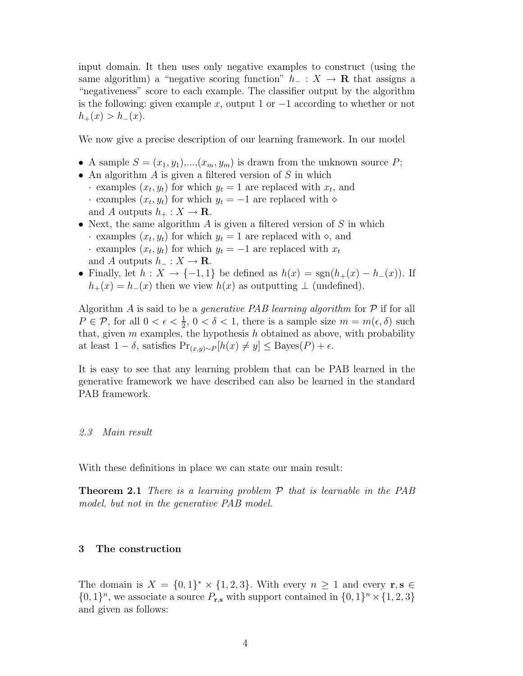input domain. It then uses only negative examples to construct (using the same algorithm) a "negative scoring function"  $h_$  :  $X \to \mathbf{R}$  that assigns a "negativeness" score to each example. The classifier output by the algorithm is the following: given example x, output 1 or  $-1$  according to whether or not  $h_{+}(x) > h_{-}(x)$ .

We now give a precise description of our learning framework. In our model

- A sample  $S = (x_1, y_1),..., (x_m, y_m)$  is drawn from the unknown source P;
- An algorithm  $A$  is given a filtered version of  $S$  in which
- · examples  $(x_t, y_t)$  for which  $y_t = 1$  are replaced with  $x_t$ , and • examples  $(x_t, y_t)$  for which  $y_t = -1$  are replaced with  $\diamond$ and A outputs  $h_+ : X \to \mathbf{R}$ .
- Next, the same algorithm  $A$  is given a filtered version of  $S$  in which · examples  $(x_t, y_t)$  for which  $y_t = 1$  are replaced with  $\diamond$ , and · examples  $(x_t, y_t)$  for which  $y_t = -1$  are replaced with  $x_t$ and A outputs  $h_-\colon X\to\mathbf{R}$ .
- Finally, let  $h: X \to \{-1, 1\}$  be defined as  $h(x) = \text{sgn}(h_+(x) h_-(x))$ . If  $h_{+}(x) = h_{-}(x)$  then we view  $h(x)$  as outputting  $\perp$  (undefined).

Algorithm A is said to be a *generative PAB learning algorithm* for  $P$  if for all  $P \in \mathcal{P}$ , for all  $0 < \epsilon < \frac{1}{2}$  $\frac{1}{2}$ ,  $0 < \delta < 1$ , there is a sample size  $m = m(\epsilon, \delta)$  such that, given  $m$  examples, the hypothesis  $h$  obtained as above, with probability at least 1 − δ, satisfies  $Pr_{(x,y)\sim P}[h(x) \neq y]$  ≤ Bayes(P) +  $\epsilon$ .

It is easy to see that any learning problem that can be PAB learned in the generative framework we have described can also be learned in the standard PAB framework.

2.3 Main result

With these definitions in place we can state our main result:

**Theorem 2.1** There is a learning problem  $P$  that is learnable in the PAB model, but not in the generative PAB model.

## 3 The construction

The domain is  $X = \{0,1\}^* \times \{1,2,3\}$ . With every  $n \geq 1$  and every  $\mathbf{r}, \mathbf{s} \in \mathbb{R}$  $\{0,1\}^n$ , we associate a source  $P_{\mathbf{r},\mathbf{s}}$  with support contained in  $\{0,1\}^n \times \{1,2,3\}$ and given as follows: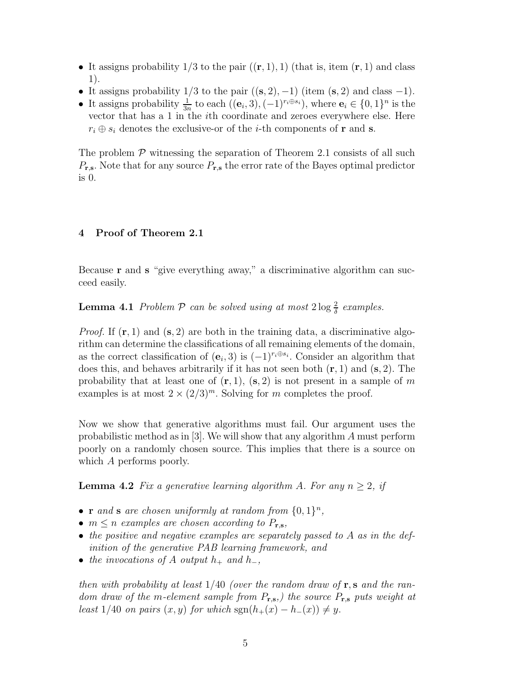- It assigns probability  $1/3$  to the pair  $((\mathbf{r},1),1)$  (that is, item  $(\mathbf{r},1)$ ) and class 1).
- It assigns probability  $1/3$  to the pair  $((s, 2), -1)$  (item  $(s, 2)$  and class  $-1$ ).
- It assigns probability  $\frac{1}{3}$  $\frac{1}{3n}$  to each  $((e_i, 3), (-1)^{r_i \oplus s_i})$ , where  $e_i \in \{0, 1\}^n$  is the vector that has a 1 in the ith coordinate and zeroes everywhere else. Here  $r_i \oplus s_i$  denotes the exclusive-or of the *i*-th components of **r** and **s**.

The problem  $P$  witnessing the separation of Theorem 2.1 consists of all such  $P_{r,s}$ . Note that for any source  $P_{r,s}$  the error rate of the Bayes optimal predictor is 0.

# 4 Proof of Theorem 2.1

Because r and s "give everything away," a discriminative algorithm can succeed easily.

**Lemma 4.1** Problem  $P$  can be solved using at most  $2 \log \frac{2}{\delta}$  examples.

*Proof.* If  $(\mathbf{r}, 1)$  and  $(\mathbf{s}, 2)$  are both in the training data, a discriminative algorithm can determine the classifications of all remaining elements of the domain, as the correct classification of  $(e_i, 3)$  is  $(-1)^{r_i \oplus s_i}$ . Consider an algorithm that does this, and behaves arbitrarily if it has not seen both  $(r, 1)$  and  $(s, 2)$ . The probability that at least one of  $(r, 1)$ ,  $(s, 2)$  is not present in a sample of m examples is at most  $2 \times (2/3)^m$ . Solving for m completes the proof.

Now we show that generative algorithms must fail. Our argument uses the probabilistic method as in [3]. We will show that any algorithm A must perform poorly on a randomly chosen source. This implies that there is a source on which A performs poorly.

**Lemma 4.2** Fix a generative learning algorithm A. For any  $n \geq 2$ , if

- **r** and **s** are chosen uniformly at random from  $\{0,1\}^n$ ,
- $m \leq n$  examples are chosen according to  $P_{\text{r.s.}}$
- the positive and negative examples are separately passed to A as in the definition of the generative PAB learning framework, and
- the invocations of A output  $h_+$  and  $h_-$ ,

then with probability at least  $1/40$  (over the random draw of r, s and the random draw of the m-element sample from  $P_{r,s}$ , the source  $P_{r,s}$  puts weight at least 1/40 on pairs  $(x, y)$  for which sgn $(h_{+}(x) - h_{-}(x)) \neq y$ .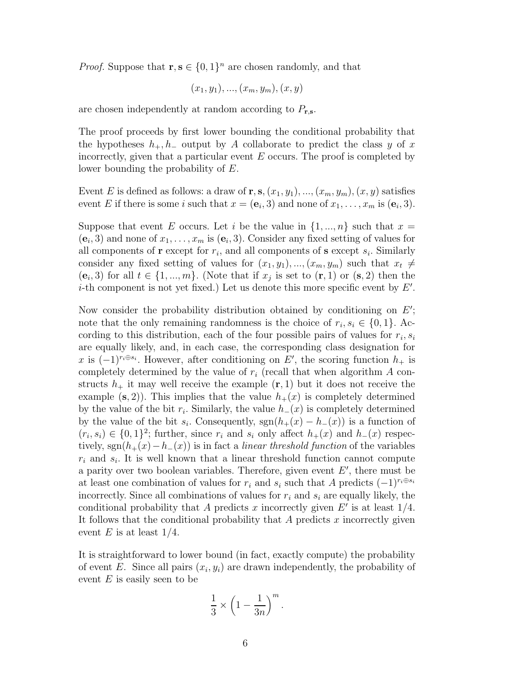*Proof.* Suppose that  $\mathbf{r}, \mathbf{s} \in \{0, 1\}^n$  are chosen randomly, and that

$$
(x_1, y_1), \ldots, (x_m, y_m), (x, y)
$$

are chosen independently at random according to  $P_{\rm r,s}$ .

The proof proceeds by first lower bounding the conditional probability that the hypotheses  $h_+, h_-$  output by A collaborate to predict the class y of x incorrectly, given that a particular event  $E$  occurs. The proof is completed by lower bounding the probability of E.

Event E is defined as follows: a draw of  $\mathbf{r}, \mathbf{s},(x_1, y_1), ..., (x_m, y_m), (x, y)$  satisfies event E if there is some i such that  $x = (e_i, 3)$  and none of  $x_1, \ldots, x_m$  is  $(e_i, 3)$ .

Suppose that event E occurs. Let i be the value in  $\{1, ..., n\}$  such that  $x =$  $(e_i, 3)$  and none of  $x_1, \ldots, x_m$  is  $(e_i, 3)$ . Consider any fixed setting of values for all components of  $\mathbf r$  except for  $r_i$ , and all components of  $\mathbf s$  except  $s_i$ . Similarly consider any fixed setting of values for  $(x_1, y_1), ..., (x_m, y_m)$  such that  $x_t \neq$  $(e_i, 3)$  for all  $t \in \{1, ..., m\}$ . (Note that if  $x_j$  is set to  $(r, 1)$  or  $(s, 2)$  then the *i*-th component is not yet fixed.) Let us denote this more specific event by  $E'$ .

Now consider the probability distribution obtained by conditioning on  $E'$ ; note that the only remaining randomness is the choice of  $r_i, s_i \in \{0, 1\}$ . According to this distribution, each of the four possible pairs of values for  $r_i$ ,  $s_i$ are equally likely, and, in each case, the corresponding class designation for x is  $(-1)^{r_i \oplus s_i}$ . However, after conditioning on E', the scoring function  $h_+$  is completely determined by the value of  $r_i$  (recall that when algorithm A constructs  $h_+$  it may well receive the example  $(r, 1)$  but it does not receive the example  $(s, 2)$ . This implies that the value  $h_+(x)$  is completely determined by the value of the bit  $r_i$ . Similarly, the value  $h_-(x)$  is completely determined by the value of the bit  $s_i$ . Consequently,  $sgn(h_+(x) - h_-(x))$  is a function of  $(r_i, s_i) \in \{0, 1\}^2$ ; further, since  $r_i$  and  $s_i$  only affect  $h_+(x)$  and  $h_-(x)$  respectively, sgn( $h_+(x)-h_-(x)$ ) is in fact a linear threshold function of the variables  $r_i$  and  $s_i$ . It is well known that a linear threshold function cannot compute a parity over two boolean variables. Therefore, given event  $E'$ , there must be at least one combination of values for  $r_i$  and  $s_i$  such that A predicts  $(-1)^{r_i \oplus s_i}$ incorrectly. Since all combinations of values for  $r_i$  and  $s_i$  are equally likely, the conditional probability that A predicts x incorrectly given  $E'$  is at least  $1/4$ . It follows that the conditional probability that  $A$  predicts  $x$  incorrectly given event E is at least  $1/4$ .

It is straightforward to lower bound (in fact, exactly compute) the probability of event E. Since all pairs  $(x_i, y_i)$  are drawn independently, the probability of event  $E$  is easily seen to be

$$
\frac{1}{3} \times \left(1-\frac{1}{3n}\right)^m
$$

.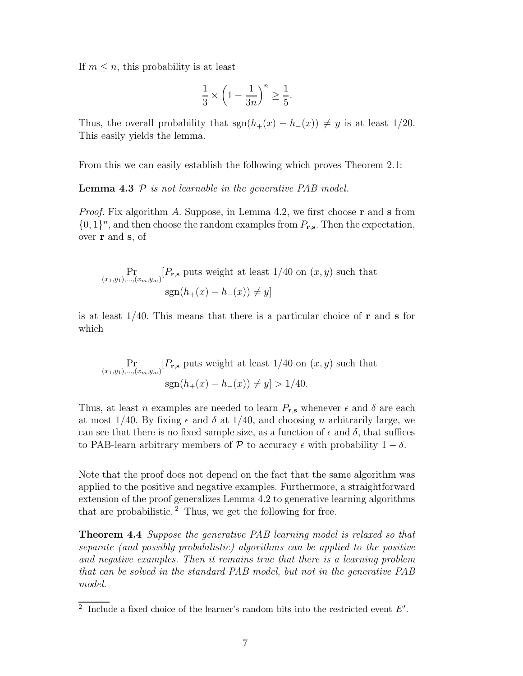If  $m \leq n$ , this probability is at least

$$
\frac{1}{3} \times \left(1 - \frac{1}{3n}\right)^n \ge \frac{1}{5}.
$$

Thus, the overall probability that  $sgn(h_{+}(x) - h_{-}(x)) \neq y$  is at least 1/20. This easily yields the lemma.

From this we can easily establish the following which proves Theorem 2.1:

**Lemma 4.3**  $P$  is not learnable in the generative PAB model.

*Proof.* Fix algorithm A. Suppose, in Lemma 4.2, we first choose  $\bf{r}$  and  $\bf{s}$  from  $\{0,1\}^n$ , and then choose the random examples from  $P_{\mathbf{r},\mathbf{s}}$ . Then the expectation, over r and s, of

$$
\Pr_{(x_1, y_1), \dots, (x_m, y_m)}[P_{\mathbf{r}, \mathbf{s}} \text{ puts weight at least } 1/40 \text{ on } (x, y) \text{ such that}
$$

$$
\text{sgn}(h_+(x) - h_-(x)) \neq y]
$$

is at least  $1/40$ . This means that there is a particular choice of r and s for which

$$
\Pr_{(x_1, y_1), \dots, (x_m, y_m)} [P_{\mathbf{r}, \mathbf{s}} \text{ puts weight at least } 1/40 \text{ on } (x, y) \text{ such that}
$$

$$
\text{sgn}(h_+(x) - h_-(x)) \neq y] > 1/40.
$$

Thus, at least n examples are needed to learn  $P_{r,s}$  whenever  $\epsilon$  and  $\delta$  are each at most 1/40. By fixing  $\epsilon$  and  $\delta$  at 1/40, and choosing *n* arbitrarily large, we can see that there is no fixed sample size, as a function of  $\epsilon$  and  $\delta$ , that suffices to PAB-learn arbitrary members of P to accuracy  $\epsilon$  with probability  $1 - \delta$ .

Note that the proof does not depend on the fact that the same algorithm was applied to the positive and negative examples. Furthermore, a straightforward extension of the proof generalizes Lemma 4.2 to generative learning algorithms that are probabilistic.<sup>2</sup> Thus, we get the following for free.

Theorem 4.4 Suppose the generative PAB learning model is relaxed so that separate (and possibly probabilistic) algorithms can be applied to the positive and negative examples. Then it remains true that there is a learning problem that can be solved in the standard PAB model, but not in the generative PAB model.

<sup>&</sup>lt;sup>2</sup> Include a fixed choice of the learner's random bits into the restricted event  $E'$ .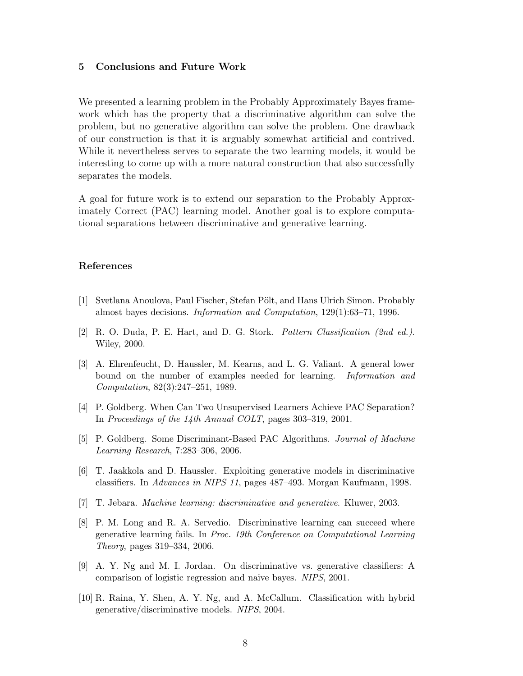# 5 Conclusions and Future Work

We presented a learning problem in the Probably Approximately Bayes framework which has the property that a discriminative algorithm can solve the problem, but no generative algorithm can solve the problem. One drawback of our construction is that it is arguably somewhat artificial and contrived. While it nevertheless serves to separate the two learning models, it would be interesting to come up with a more natural construction that also successfully separates the models.

A goal for future work is to extend our separation to the Probably Approximately Correct (PAC) learning model. Another goal is to explore computational separations between discriminative and generative learning.

#### References

- [1] Svetlana Anoulova, Paul Fischer, Stefan Pölt, and Hans Ulrich Simon. Probably almost bayes decisions. Information and Computation, 129(1):63–71, 1996.
- [2] R. O. Duda, P. E. Hart, and D. G. Stork. Pattern Classification (2nd ed.). Wiley, 2000.
- [3] A. Ehrenfeucht, D. Haussler, M. Kearns, and L. G. Valiant. A general lower bound on the number of examples needed for learning. Information and Computation, 82(3):247–251, 1989.
- [4] P. Goldberg. When Can Two Unsupervised Learners Achieve PAC Separation? In Proceedings of the 14th Annual COLT, pages 303–319, 2001.
- [5] P. Goldberg. Some Discriminant-Based PAC Algorithms. Journal of Machine Learning Research, 7:283–306, 2006.
- [6] T. Jaakkola and D. Haussler. Exploiting generative models in discriminative classifiers. In Advances in NIPS 11, pages 487–493. Morgan Kaufmann, 1998.
- [7] T. Jebara. Machine learning: discriminative and generative. Kluwer, 2003.
- [8] P. M. Long and R. A. Servedio. Discriminative learning can succeed where generative learning fails. In Proc. 19th Conference on Computational Learning Theory, pages 319–334, 2006.
- [9] A. Y. Ng and M. I. Jordan. On discriminative vs. generative classifiers: A comparison of logistic regression and naive bayes. NIPS, 2001.
- [10] R. Raina, Y. Shen, A. Y. Ng, and A. McCallum. Classification with hybrid generative/discriminative models. NIPS, 2004.